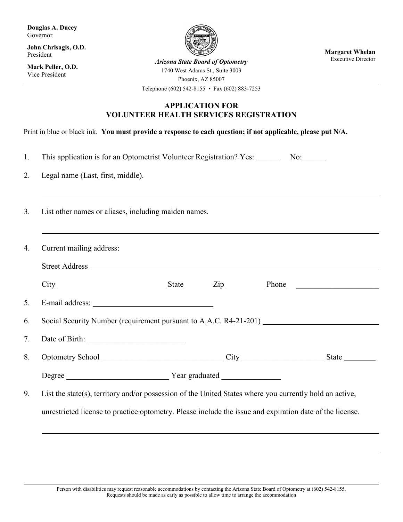**Douglas A. Ducey** Governor

**John Chrisagis, O.D.** President

**Mark Peller, O.D.** Vice President



**Margaret Whelan**<br>Executive Director

**Arizona State Board of Optometry** 1740 West Adams St., Suite 3003

Phoenix, AZ 85007

Telephone (602) 542-8155 • Fax (602) 883-7253

## **APPLICATION FOR VOLUNTEER HEALTH SERVICES REGISTRATION**

Print in blue or black ink. **You must provide a response to each question; if not applicable, please put N/A.**

- 1. This application is for an Optometrist Volunteer Registration? Yes: No:
- 2. Legal name (Last, first, middle).
- 3. List other names or aliases, including maiden names.

|                                   | Social Security Number (requirement pursuant to A.A.C. R4-21-201)                                                                                                                                                              |
|-----------------------------------|--------------------------------------------------------------------------------------------------------------------------------------------------------------------------------------------------------------------------------|
|                                   |                                                                                                                                                                                                                                |
|                                   | Optometry School City City City State State State State State State State State State State State State State State State State State State State State State State State State State State State State State State State Stat |
| Degree Year graduated News Degree |                                                                                                                                                                                                                                |
|                                   | List the state(s), territory and/or possession of the United States where you currently hold an active,                                                                                                                        |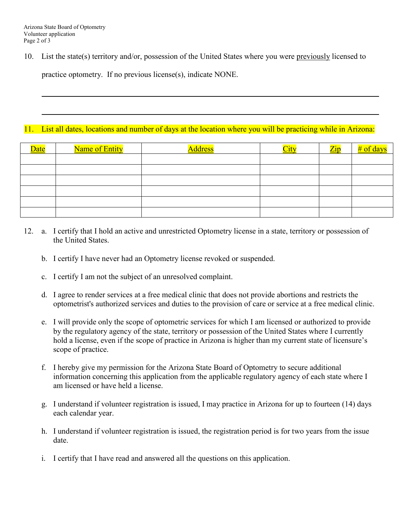10. List the state(s) territory and/or, possession of the United States where you were previously licensed to

practice optometry. If no previous license(s), indicate NONE.

## 11. List all dates, locations and number of days at the location where you will be practicing while in Arizona:

| Date | Name of Entity | <u>Address</u> |  | $\mathcal{L}$ |
|------|----------------|----------------|--|---------------|
|      |                |                |  |               |
|      |                |                |  |               |
|      |                |                |  |               |
|      |                |                |  |               |
|      |                |                |  |               |
|      |                |                |  |               |

- 12. a. I certify that I hold an active and unrestricted Optometry license in a state, territory or possession of the United States.
	- b. I certify I have never had an Optometry license revoked or suspended.
	- c. I certify I am not the subject of an unresolved complaint.
	- d. I agree to render services at a free medical clinic that does not provide abortions and restricts the optometrist's authorized services and duties to the provision of care or service at a free medical clinic.
	- e. I will provide only the scope of optometric services for which I am licensed or authorized to provide by the regulatory agency of the state, territory or possession of the United States where I currently hold a license, even if the scope of practice in Arizona is higher than my current state of licensure's scope of practice.
	- f. I hereby give my permission for the Arizona State Board of Optometry to secure additional information concerning this application from the applicable regulatory agency of each state where I am licensed or have held a license.
	- g. I understand if volunteer registration is issued, I may practice in Arizona for up to fourteen (14) days each calendar year.
	- h. I understand if volunteer registration is issued, the registration period is for two years from the issue date.
	- i. I certify that I have read and answered all the questions on this application.